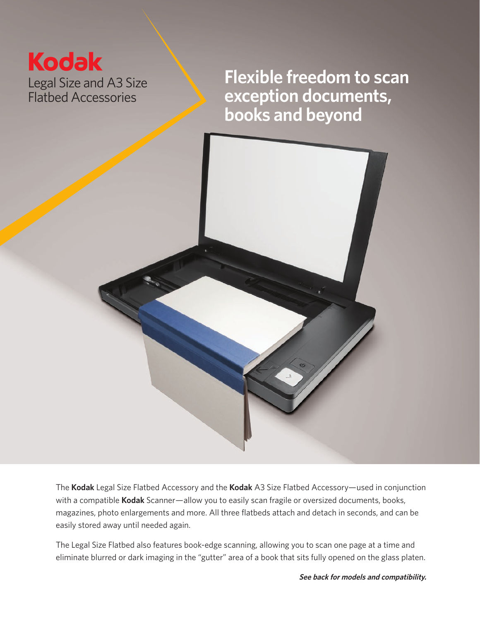## **Kodak** Legal Size and A3 Size Flatbed Accessories

**Flexible freedom to scan exception documents, books and beyond**



The **Kodak** Legal Size Flatbed Accessory and the **Kodak** A3 Size Flatbed Accessory—used in conjunction with a compatible **Kodak** Scanner—allow you to easily scan fragile or oversized documents, books, magazines, photo enlargements and more. All three flatbeds attach and detach in seconds, and can be easily stored away until needed again.

The Legal Size Flatbed also features book-edge scanning, allowing you to scan one page at a time and eliminate blurred or dark imaging in the "gutter" area of a book that sits fully opened on the glass platen.